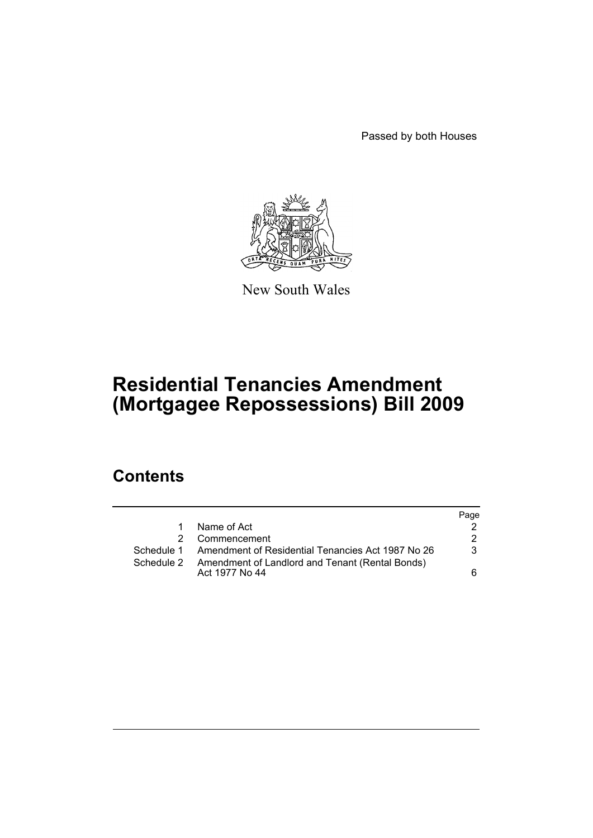Passed by both Houses



New South Wales

# **Residential Tenancies Amendment (Mortgagee Repossessions) Bill 2009**

## **Contents**

|            |                                                                   | Page |
|------------|-------------------------------------------------------------------|------|
| 1          | Name of Act                                                       |      |
|            | Commencement                                                      | 2    |
|            | Schedule 1 Amendment of Residential Tenancies Act 1987 No 26      | 3    |
| Schedule 2 | Amendment of Landlord and Tenant (Rental Bonds)<br>Act 1977 No 44 | 6    |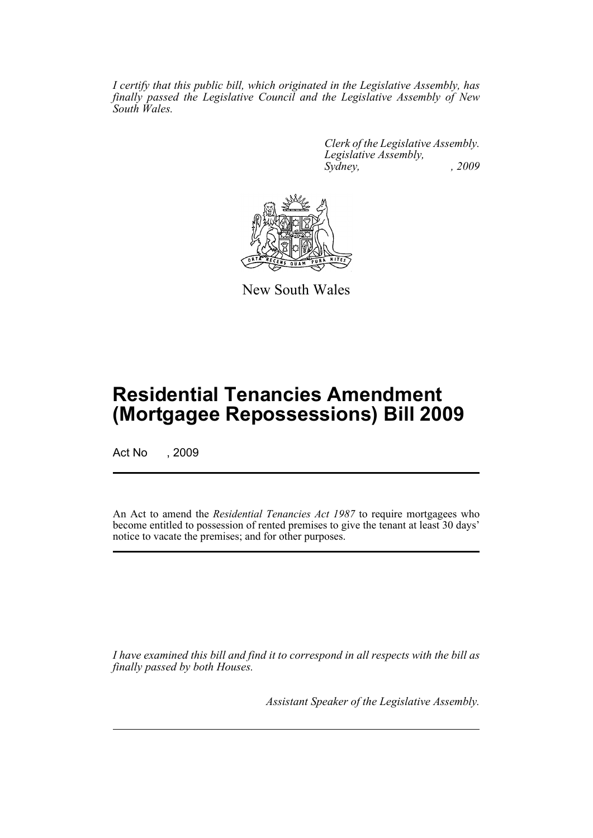*I certify that this public bill, which originated in the Legislative Assembly, has finally passed the Legislative Council and the Legislative Assembly of New South Wales.*

> *Clerk of the Legislative Assembly. Legislative Assembly, Sydney, , 2009*



New South Wales

## **Residential Tenancies Amendment (Mortgagee Repossessions) Bill 2009**

Act No , 2009

An Act to amend the *Residential Tenancies Act 1987* to require mortgagees who become entitled to possession of rented premises to give the tenant at least 30 days' notice to vacate the premises; and for other purposes.

*I have examined this bill and find it to correspond in all respects with the bill as finally passed by both Houses.*

*Assistant Speaker of the Legislative Assembly.*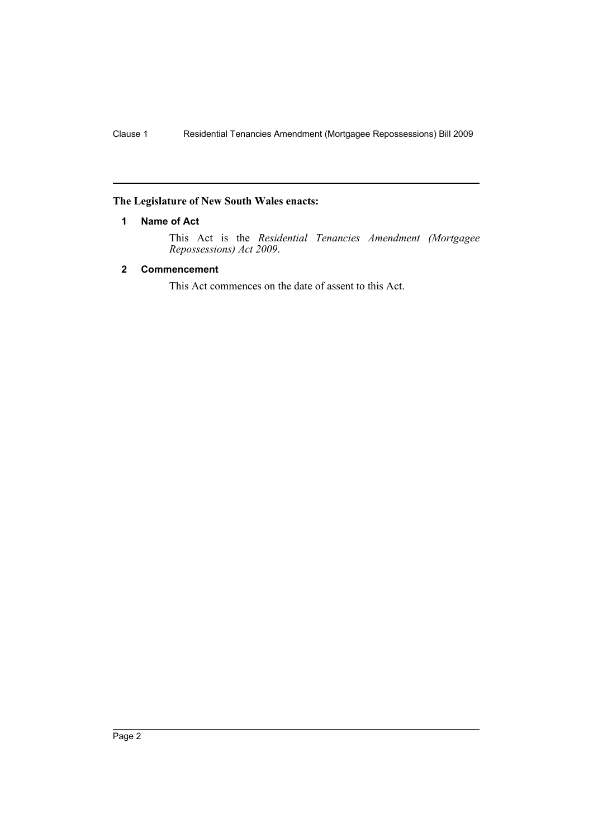### <span id="page-2-0"></span>**The Legislature of New South Wales enacts:**

#### **1 Name of Act**

This Act is the *Residential Tenancies Amendment (Mortgagee Repossessions) Act 2009*.

### <span id="page-2-1"></span>**2 Commencement**

This Act commences on the date of assent to this Act.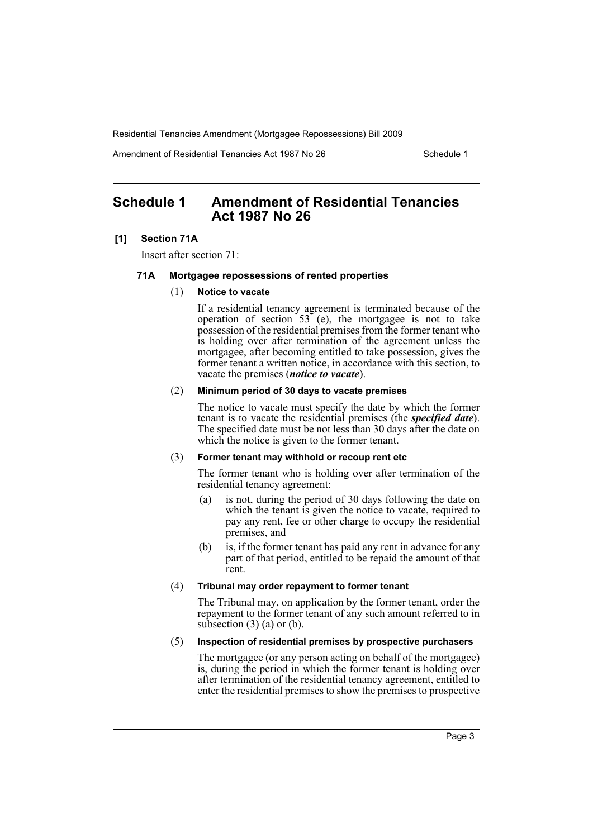Amendment of Residential Tenancies Act 1987 No 26 Schedule 1

## <span id="page-3-0"></span>**Schedule 1 Amendment of Residential Tenancies Act 1987 No 26**

#### **[1] Section 71A**

Insert after section 71:

#### **71A Mortgagee repossessions of rented properties**

#### (1) **Notice to vacate**

If a residential tenancy agreement is terminated because of the operation of section  $53$  (e), the mortgagee is not to take possession of the residential premises from the former tenant who is holding over after termination of the agreement unless the mortgagee, after becoming entitled to take possession, gives the former tenant a written notice, in accordance with this section, to vacate the premises (*notice to vacate*).

#### (2) **Minimum period of 30 days to vacate premises**

The notice to vacate must specify the date by which the former tenant is to vacate the residential premises (the *specified date*). The specified date must be not less than 30 days after the date on which the notice is given to the former tenant.

#### (3) **Former tenant may withhold or recoup rent etc**

The former tenant who is holding over after termination of the residential tenancy agreement:

- (a) is not, during the period of 30 days following the date on which the tenant is given the notice to vacate, required to pay any rent, fee or other charge to occupy the residential premises, and
- (b) is, if the former tenant has paid any rent in advance for any part of that period, entitled to be repaid the amount of that rent.

#### (4) **Tribunal may order repayment to former tenant**

The Tribunal may, on application by the former tenant, order the repayment to the former tenant of any such amount referred to in subsection  $(3)$  (a) or (b).

#### (5) **Inspection of residential premises by prospective purchasers**

The mortgagee (or any person acting on behalf of the mortgagee) is, during the period in which the former tenant is holding over after termination of the residential tenancy agreement, entitled to enter the residential premises to show the premises to prospective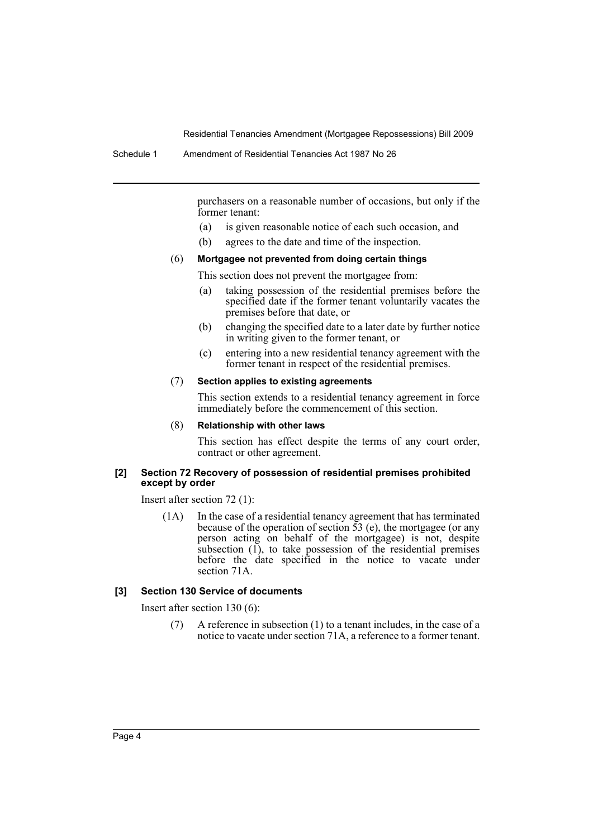purchasers on a reasonable number of occasions, but only if the former tenant:

- (a) is given reasonable notice of each such occasion, and
- (b) agrees to the date and time of the inspection.

#### (6) **Mortgagee not prevented from doing certain things**

#### This section does not prevent the mortgagee from:

- (a) taking possession of the residential premises before the specified date if the former tenant voluntarily vacates the premises before that date, or
- (b) changing the specified date to a later date by further notice in writing given to the former tenant, or
- (c) entering into a new residential tenancy agreement with the former tenant in respect of the residential premises.

#### (7) **Section applies to existing agreements**

This section extends to a residential tenancy agreement in force immediately before the commencement of this section.

#### (8) **Relationship with other laws**

This section has effect despite the terms of any court order, contract or other agreement.

#### **[2] Section 72 Recovery of possession of residential premises prohibited except by order**

Insert after section 72 (1):

(1A) In the case of a residential tenancy agreement that has terminated because of the operation of section  $\overline{53}$  (e), the mortgagee (or any person acting on behalf of the mortgagee) is not, despite subsection  $(1)$ , to take possession of the residential premises before the date specified in the notice to vacate under section 71A.

#### **[3] Section 130 Service of documents**

Insert after section 130 (6):

(7) A reference in subsection (1) to a tenant includes, in the case of a notice to vacate under section 71A, a reference to a former tenant.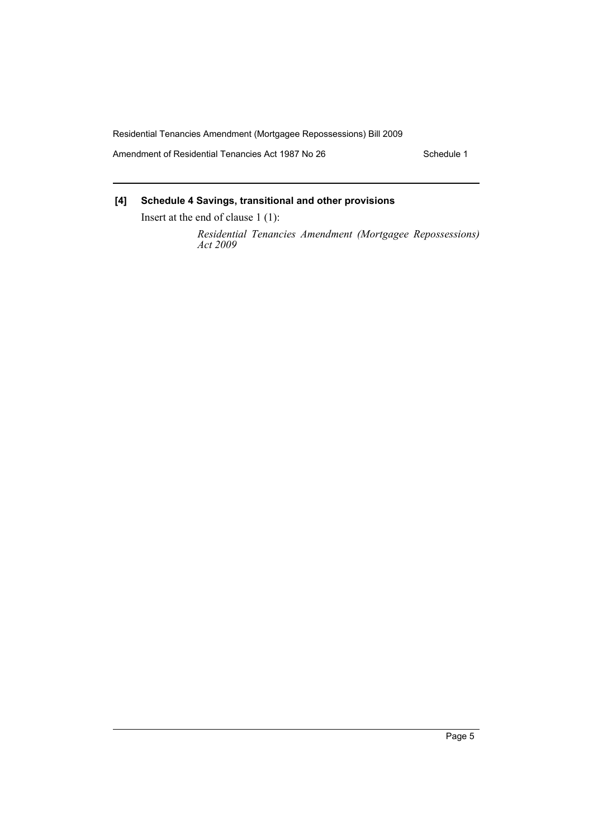Amendment of Residential Tenancies Act 1987 No 26 Schedule 1

## **[4] Schedule 4 Savings, transitional and other provisions**

Insert at the end of clause 1 (1):

*Residential Tenancies Amendment (Mortgagee Repossessions) Act 2009*